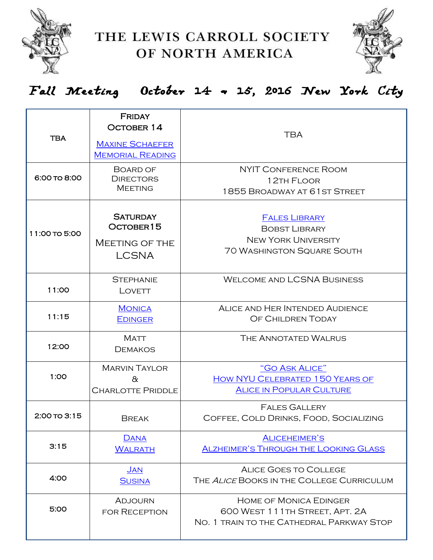



### Fall Meeting October 14 & 15, 2016 New York City

| <b>TBA</b>    | <b>FRIDAY</b><br><b>OCTOBER 14</b><br><b>MAXINE SCHAEFER</b><br><b>MEMORIAL READING</b> | <b>TBA</b>                                                                                                      |
|---------------|-----------------------------------------------------------------------------------------|-----------------------------------------------------------------------------------------------------------------|
| 6:00 TO 8:00  | BOARD OF<br><b>DIRECTORS</b><br><b>MEETING</b>                                          | NYIT CONFERENCE ROOM<br>12TH FLOOR<br>1855 BROADWAY AT 61ST STREET                                              |
| 11:00 TO 5:00 | <b>SATURDAY</b><br>OCTOBER15<br>MEETING OF THE<br><b>LCSNA</b>                          | <b>FALES LIBRARY</b><br><b>BOBST LIBRARY</b><br><b>NEW YORK UNIVERSITY</b><br><b>70 WASHINGTON SQUARE SOUTH</b> |
| 11:00         | <b>STEPHANIE</b><br>LOVETT                                                              | <b>WELCOME AND LCSNA BUSINESS</b>                                                                               |
| 11:15         | <b>MONICA</b><br><b>EDINGER</b>                                                         | ALICE AND HER INTENDED AUDIENCE<br>OF CHILDREN TODAY                                                            |
| 12:00         | <b>MATT</b><br><b>DEMAKOS</b>                                                           | THE ANNOTATED WALRUS                                                                                            |
| 1:OO          | <b>MARVIN TAYLOR</b><br>$\alpha$<br><b>CHARLOTTE PRIDDLE</b>                            | "GO ASK ALICE"<br>HOW NYU CELEBRATED 150 YEARS OF<br><b>ALICE IN POPULAR CULTURE</b>                            |
| 2:00 TO 3:15  | <b>BREAK</b>                                                                            | <b>FALES GALLERY</b><br>COFFEE, COLD DRINKS, FOOD, SOCIALIZING                                                  |
| 3:15          | <b>DANA</b><br><b>WALRATH</b>                                                           | <b>ALICEHEIMER'S</b><br><b>ALZHEIMER'S THROUGH THE LOOKING GLASS</b>                                            |
| 4:00          | <b>JAN</b><br><b>SUSINA</b>                                                             | <b>ALICE GOES TO COLLEGE</b><br>THE ALICE BOOKS IN THE COLLEGE CURRICULUM                                       |
| 5:00          | <b>ADJOURN</b><br><b>FOR RECEPTION</b>                                                  | <b>HOME OF MONICA EDINGER</b><br>600 WEST 111TH STREET, APT. 2A<br>NO. 1 TRAIN TO THE CATHEDRAL PARKWAY STOP    |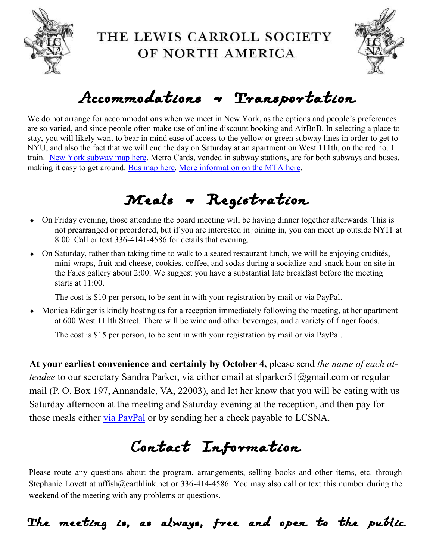



## Accommodations & Transportation

We do not arrange for accommodations when we meet in New York, as the options and people's preferences are so varied, and since people often make use of online discount booking and AirBnB. In selecting a place to stay, you will likely want to bear in mind ease of access to the yellow or green subway lines in order to get to NYU, and also the fact that we will end the day on Saturday at an apartment on West 111th, on the red no. 1 train. [New York subway map here.](http://web.mta.info/maps/submap.html) Metro Cards, vended in subway stations, are for both subways and buses, making it easy to get around. [Bus map here.](http://web.mta.info/nyct/maps/manbus.pdf) [More information on the MTA here.](http://web.mta.info/maps/submap.html)

# Meals & Registration

- On Friday evening, those attending the board meeting will be having dinner together afterwards. This is not prearranged or preordered, but if you are interested in joining in, you can meet up outside NYIT at 8:00. Call or text 336-4141-4586 for details that evening.
- On Saturday, rather than taking time to walk to a seated restaurant lunch, we will be enjoying crudités, mini-wraps, fruit and cheese, cookies, coffee, and sodas during a socialize-and-snack hour on site in the Fales gallery about 2:00. We suggest you have a substantial late breakfast before the meeting starts at 11:00.

The cost is \$10 per person, to be sent in with your registration by mail or via PayPal.

 Monica Edinger is kindly hosting us for a reception immediately following the meeting, at her apartment at 600 West 111th Street. There will be wine and other beverages, and a variety of finger foods.

The cost is \$15 per person, to be sent in with your registration by mail or via PayPal.

**At your earliest convenience and certainly by October 4,** please send *the name of each attendee* to our secretary Sandra Parker, via either email at slparker51@gmail.com or regular mail (P. O. Box 197, Annandale, VA, 22003), and let her know that you will be eating with us Saturday afternoon at the meeting and Saturday evening at the reception, and then pay for those meals either [via PayPal](http://www.lewiscarroll.org/wp-content/meetings/2016FALL/pay4meals.html) or by sending her a check payable to LCSNA.

# Contact Information

Please route any questions about the program, arrangements, selling books and other items, etc. through Stephanie Lovett at uffish@earthlink.net or 336-414-4586. You may also call or text this number during the weekend of the meeting with any problems or questions.

The meeting is, as always, free and open to the public.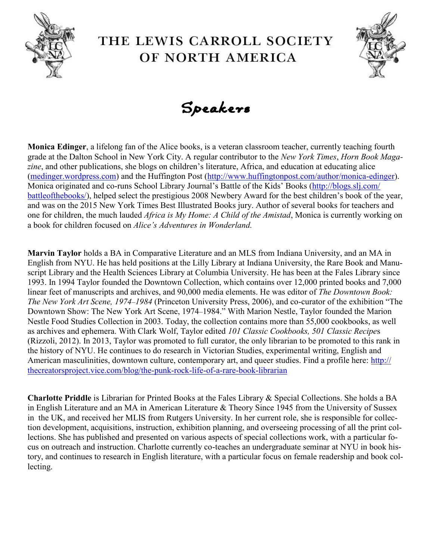





**Monica Edinger**, a lifelong fan of the Alice books, is a veteran classroom teacher, currently teaching fourth grade at the Dalton School in New York City. A regular contributor to the *New York Times*, *Horn Book Magazine*, and other publications, she blogs on children's literature, Africa, and education at educating alice ([medinger.wordpress.com\)](http://medinger.wordpress.com) and the Huffington Post [\(http://www.huffingtonpost.com/author/monica](http://www.huffingtonpost.com/author/monica-edinger)-edinger). Monica originated and co-runs School Library Journal's Battle of the Kids' Books ([http://blogs.slj.com/](http://blogs.slj.com/battleofthebooks/) [battleofthebooks/\)](http://blogs.slj.com/battleofthebooks/), helped select the prestigious 2008 Newbery Award for the best children's book of the year, and was on the 2015 New York Times Best Illustrated Books jury. Author of several books for teachers and one for children, the much lauded *Africa is My Home: A Child of the Amistad*, Monica is currently working on a book for children focused on *Alice's Adventures in Wonderland.*

**Marvin Taylor** holds a BA in Comparative Literature and an MLS from Indiana University, and an MA in English from NYU. He has held positions at the Lilly Library at Indiana University, the Rare Book and Manuscript Library and the Health Sciences Library at Columbia University. He has been at the Fales Library since 1993. In 1994 Taylor founded the Downtown Collection, which contains over 12,000 printed books and 7,000 linear feet of manuscripts and archives, and 90,000 media elements. He was editor of *The Downtown Book: The New York Art Scene, 1974*–*1984* (Princeton University Press, 2006), and co-curator of the exhibition "The Downtown Show: The New York Art Scene, 1974–1984." With Marion Nestle, Taylor founded the Marion Nestle Food Studies Collection in 2003. Today, the collection contains more than 55,000 cookbooks, as well as archives and ephemera. With Clark Wolf, Taylor edited *101 Classic Cookbooks, 501 Classic Recipe*s (Rizzoli, 2012). In 2013, Taylor was promoted to full curator, the only librarian to be promoted to this rank in the history of NYU. He continues to do research in Victorian Studies, experimental writing, English and American masculinities, downtown culture, contemporary art, and queer studies. Find a profile here: [http://](http://thecreatorsproject.vice.com/blog/the-punk-rock-life-of-a-rare-book-librarian) [thecreatorsproject.vice.com/blog/the](http://thecreatorsproject.vice.com/blog/the-punk-rock-life-of-a-rare-book-librarian)-punk-rock-life-of-a-rare-book-librarian

**Charlotte Priddle** is Librarian for Printed Books at the Fales Library & Special Collections. She holds a BA in English Literature and an MA in American Literature & Theory Since 1945 from the University of Sussex in the UK, and received her MLIS from Rutgers University. In her current role, she is responsible for collection development, acquisitions, instruction, exhibition planning, and overseeing processing of all the print collections. She has published and presented on various aspects of special collections work, with a particular focus on outreach and instruction. Charlotte currently co-teaches an undergraduate seminar at NYU in book history, and continues to research in English literature, with a particular focus on female readership and book collecting.